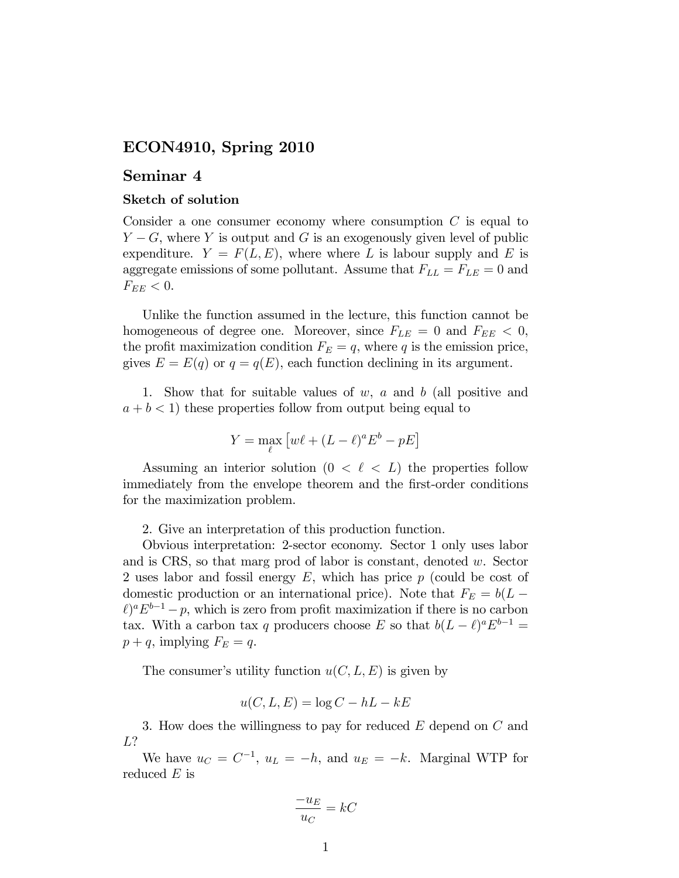## ECON4910, Spring 2010

## Seminar 4

## Sketch of solution

Consider a one consumer economy where consumption  $C$  is equal to  $Y - G$ , where Y is output and G is an exogenously given level of public expenditure.  $Y = F(L, E)$ , where where L is labour supply and E is aggregate emissions of some pollutant. Assume that  $F_{LL} = F_{LE} = 0$  and  $F_{EE}$  < 0.

Unlike the function assumed in the lecture, this function cannot be homogeneous of degree one. Moreover, since  $F_{LE} = 0$  and  $F_{EE} < 0$ , the profit maximization condition  $F_E = q$ , where q is the emission price, gives  $E = E(q)$  or  $q = q(E)$ , each function declining in its argument.

1. Show that for suitable values of  $w$ ,  $a$  and  $b$  (all positive and  $a + b < 1$ ) these properties follow from output being equal to

$$
Y = \max_{\ell} \left[ w\ell + (L - \ell)^a E^b - pE \right]
$$

Assuming an interior solution  $(0 \lt \ell \lt L)$  the properties follow immediately from the envelope theorem and the first-order conditions for the maximization problem.

2. Give an interpretation of this production function.

Obvious interpretation: 2-sector economy. Sector 1 only uses labor and is CRS, so that marg prod of labor is constant, denoted w. Sector 2 uses labor and fossil energy  $E$ , which has price  $p$  (could be cost of domestic production or an international price). Note that  $F_E = b(L \ell$ <sup>a</sup> $E^{b-1}$  – p, which is zero from profit maximization if there is no carbon tax. With a carbon tax q producers choose E so that  $b(L - \ell)^a E^{b-1} =$  $p+q$ , implying  $F_E = q$ .

The consumer's utility function  $u(C, L, E)$  is given by

$$
u(C, L, E) = \log C - hL - kE
$$

3. How does the willingness to pay for reduced  $E$  depend on  $C$  and L?

We have  $u_C = C^{-1}$ ,  $u_L = -h$ , and  $u_E = -k$ . Marginal WTP for reduced  $E$  is

$$
\frac{-u_E}{u_C} = kC
$$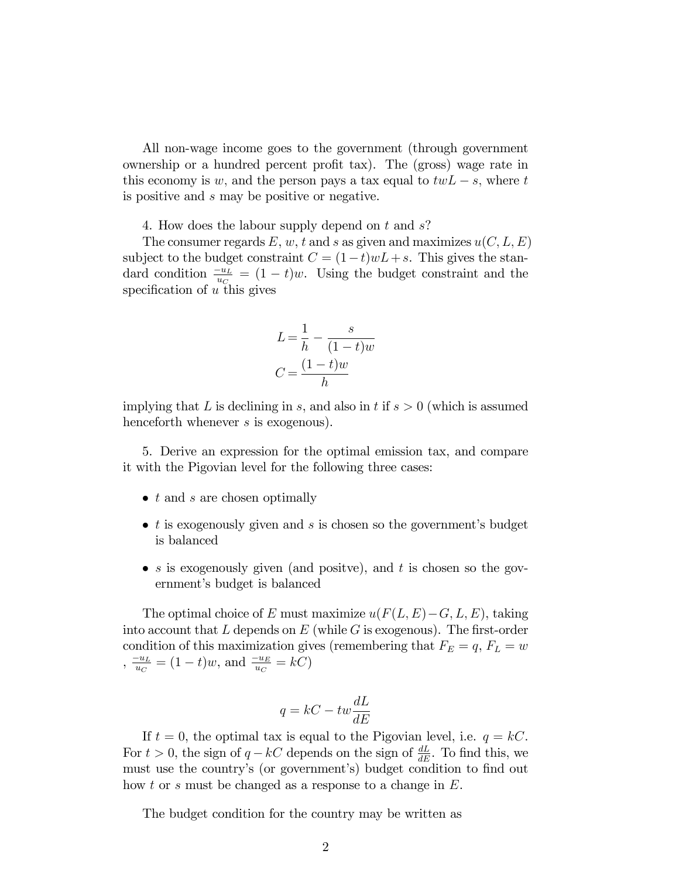All non-wage income goes to the government (through government ownership or a hundred percent profit tax). The (gross) wage rate in this economy is w, and the person pays a tax equal to  $twL - s$ , where t is positive and s may be positive or negative.

4. How does the labour supply depend on t and s?

The consumer regards E, w, t and s as given and maximizes  $u(C, L, E)$ subject to the budget constraint  $C = (1-t)wL + s$ . This gives the standard condition  $\frac{-u_L}{u_C} = (1-t)w$ . Using the budget constraint and the specification of  $u$  this gives

$$
L = \frac{1}{h} - \frac{s}{(1-t)w}
$$

$$
C = \frac{(1-t)w}{h}
$$

implying that L is declining in s, and also in t if  $s > 0$  (which is assumed henceforth whenever s is exogenous).

5. Derive an expression for the optimal emission tax, and compare it with the Pigovian level for the following three cases:

- $\bullet$  t and s are chosen optimally
- $\bullet$  t is exogenously given and s is chosen so the government's budget is balanced
- $s$  is exogenously given (and positve), and t is chosen so the government's budget is balanced

The optimal choice of E must maximize  $u(F(L, E) - G, L, E)$ , taking into account that  $L$  depends on  $E$  (while  $G$  is exogenous). The first-order condition of this maximization gives (remembering that  $F_E = q$ ,  $F_L = w$ ) ,  $\frac{-u_L}{u_C} = (1-t)w$ , and  $\frac{-u_E}{u_C} = kC$ )

$$
q = kC - tw\frac{dL}{dE}
$$

If  $t = 0$ , the optimal tax is equal to the Pigovian level, i.e.  $q = kC$ . For  $t > 0$ , the sign of  $q - kC$  depends on the sign of  $\frac{dL}{dE}$ . To find this, we must use the country's (or government's) budget condition to find out how t or s must be changed as a response to a change in E.

The budget condition for the country may be written as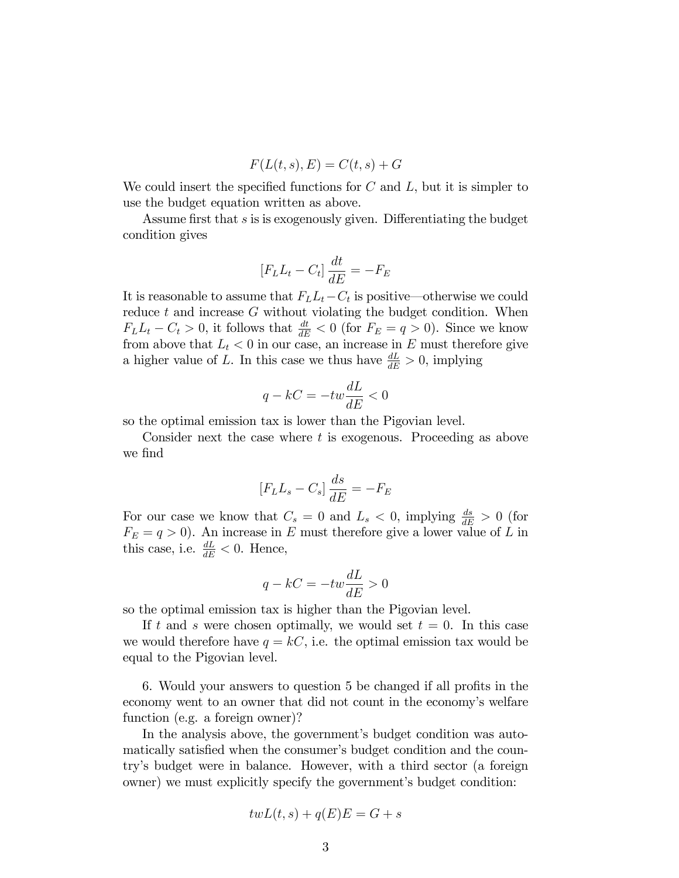$$
F(L(t, s), E) = C(t, s) + G
$$

We could insert the specified functions for  $C$  and  $L$ , but it is simpler to use the budget equation written as above.

Assume first that  $s$  is is exogenously given. Differentiating the budget condition gives

$$
[F_L L_t - C_t] \frac{dt}{dE} = -F_E
$$

It is reasonable to assume that  $F_L L_t - C_t$  is positive—otherwise we could reduce  $t$  and increase  $G$  without violating the budget condition. When  $F_L L_t - C_t > 0$ , it follows that  $\frac{dt}{dE} < 0$  (for  $F_E = q > 0$ ). Since we know from above that  $L_t < 0$  in our case, an increase in E must therefore give a higher value of L. In this case we thus have  $\frac{dL}{dE} > 0$ , implying

$$
q - kC = -tw\frac{dL}{dE} < 0
$$

so the optimal emission tax is lower than the Pigovian level.

Consider next the case where  $t$  is exogenous. Proceeding as above we find

$$
[F_L L_s - C_s] \frac{ds}{dE} = -F_E
$$

For our case we know that  $C_s = 0$  and  $L_s < 0$ , implying  $\frac{ds}{dE} > 0$  (for  $F_E = q > 0$ ). An increase in E must therefore give a lower value of L in this case, i.e.  $\frac{dL}{dE} < 0$ . Hence,

$$
q - kC = -tw\frac{dL}{dE} > 0
$$

so the optimal emission tax is higher than the Pigovian level.

If t and s were chosen optimally, we would set  $t = 0$ . In this case we would therefore have  $q = kC$ , i.e. the optimal emission tax would be equal to the Pigovian level.

6. Would your answers to question 5 be changed if all profits in the economy went to an owner that did not count in the economy's welfare function (e.g. a foreign owner)?

In the analysis above, the government's budget condition was automatically satisfied when the consumer's budget condition and the countryís budget were in balance. However, with a third sector (a foreign owner) we must explicitly specify the government's budget condition:

$$
twL(t,s) + q(E)E = G + s
$$